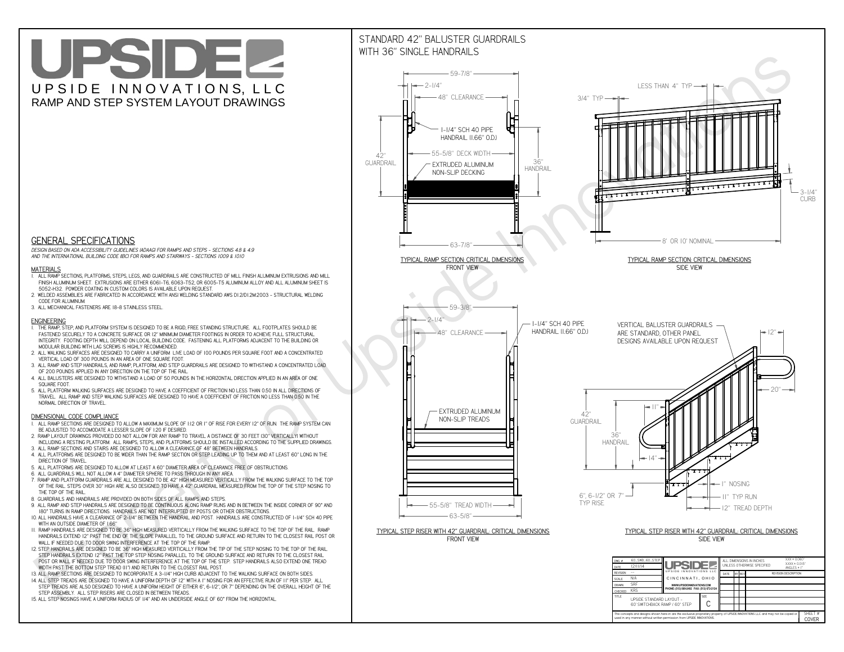**CThe concepts and designs shown here-in are the exclusive proprietary property of UPSIDE INNOVATIONS LLC. and may not be copied or**

**I** 

**used in any manner without written permission from UPSIDE INNOVATIONS.**

# UPSIDEL UPSIDE INNOVATIONS, LLC RAMP AND STEP SYSTEM LAYOUT DRAWINGS

SHEET #**COVER**

60' SWITCHBACK RAMP / 60" STEP



# WITH 36" SINGLE HANDRAILS



 *DESIGN BASED ON ADA ACCESSIBILITY GUIDELINES (ADAAG) FOR RAMPS AND STEPS - SECTIONS 4.8 & 4.9AND THE INTERNATIONAL BUILDING CODE (IBC) FOR RAMPS AND STAIRWAYS - SECTIONS 1009 & 1010*

### **MATERIALS**

- **1. ALL RAMP SECTIONS, PLATFORMS, STEPS, LEGS, AND GUARDRAILS ARE CONSTRUCTED OF MILL FINISH ALUMINUM EXTRUSIONS AND MILL FINISH ALUMINUM SHEET. EXTRUSIONS ARE EITHER 6061-T6, 6063-T52, OR 6005-T5 ALUMINUM ALLOY AND ALL ALUMINUM SHEET IS 5052-H32. POWDER COATING IN CUSTOM COLORS IS AVAILABLE UPON REQUEST.**
- **2. WELDED ASSEMBLIES ARE FABRICATED IN ACCORDANCE WITH ANSI WELDING STANDARD AWS D1.2/D1.2M:2003 STRUCTURAL WELDING CODE FOR ALUMINUM.**
- **3. ALL MECHANICAL FASTENERS ARE 18-8 STAINLESS STEEL.**

#### **ENGINEERING**

- **1. THE RAMP, STEP, AND PLATFORM SYSTEM IS DESIGNED TO BE A RIGID, FREE STANDING STRUCTURE. ALL FOOTPLATES SHOULD BE FASTENED SECURELY TO A CONCRETE SURFACE OR 12" MINIMUM DIAMETER FOOTINGS IN ORDER TO ACHIEVE FULL STRUCTURAL INTEGRITY. FOOTING DEPTH WILL DEPEND ON LOCAL BUILDING CODE. FASTENING ALL PLATFORMS ADJACENT TO THE BUILDING OR MODULAR BUILDING WITH LAG SCREWS IS HIGHLY RECOMMENDED.**
- **2. ALL WALKING SURFACES ARE DESIGNED TO CARRY A UNIFORM LIVE LOAD OF 100 POUNDS PER SQUARE FOOT AND A CONCENTRATED VERTICAL LOAD OF 300 POUNDS IN AN AREA OF ONE SQUARE FOOT.**
- **3. ALL RAMP AND STEP HANDRAILS, AND RAMP, PLATFORM, AND STEP GUARDRAILS ARE DESIGNED TO WITHSTAND A CONCENTRATED LOAD OF 200 POUNDS APPLIED IN ANY DIRECTION ON THE TOP OF THE RAIL.**
- **4. ALL BALUSTERS ARE DESIGNED TO WITHSTAND A LOAD OF 50 POUNDS IN THE HORIZONTAL DIRECTION APPLIED IN AN AREA OF ONE SQUARE FOOT.**
- **5. ALL PLATFORM WALKING SURFACES ARE DESIGNED TO HAVE A COEFFICIENT OF FRICTION NO LESS THAN 0.50 IN ALL DIRECTIONS OF TRAVEL. ALL RAMP AND STEP WALKING SURFACES ARE DESIGNED TO HAVE A COEFFICIENT OF FRICTION NO LESS THAN 0.50 IN THE NORMAL DIRECTION OF TRAVEL.**

### **DIMENSIONAL CODE COMPLIANCE**

- **1. ALL RAMP SECTIONS ARE DESIGNED TO ALLOW A MAXIMUM SLOPE OF 1:12 OR 1" OF RISE FOR EVERY 12" OF RUN. THE RAMP SYSTEM CAN BE ADJUSTED TO ACCOMODATE A LESSER SLOPE OF 1:20 IF DESIRED.**
- **2. RAMP LAYOUT DRAWINGS PROVIDED DO NOT ALLOW FOR ANY RAMP TO TRAVEL A DISTANCE OF 30 FEET (30" VERTICALLY) WITHOUT INCLUDING A RESTING PLATFORM. ALL RAMPS, STEPS, AND PLATFORMS SHOULD BE INSTALLED ACCORDING TO THE SUPPLIED DRAWINGS.**
- **3. ALL RAMP SECTIONS AND STAIRS ARE DESIGNED TO ALLOW A CLEARANCE OF 48" BETWEEN HANDRAILS.**
- **4. ALL PLATFORMS ARE DESIGNED TO BE WIDER THAN THE RAMP SECTION OR STEP LEADING UP TO THEM AND AT LEAST 60" LONG IN THE DIRECTION OF TRAVEL.**
- **5. ALL PLATFORMS ARE DESIGNED TO ALLOW AT LEAST A 60" DIAMETER AREA OF CLEARANCE FREE OF OBSTRUCTIONS.**
- **6. ALL GUARDRAILS WILL NOT ALLOW A 4" DIAMETER SPHERE TO PASS THROUGH IN ANY AREA.**
- **7. RAMP AND PLATFORM GUARDRAILS ARE ALL DESIGNED TO BE 42" HIGH MEASURED VERTICALLY FROM THE WALKING SURFACE TO THE TOP OF THE RAIL. STEPS OVER 30" HIGH ARE ALSO DESIGNED TO HAVE A 42" GUARDRAIL MEASURED FROM THE TOP OF THE STEP NOSING TO THE TOP OF THE RAIL.**
- **8. GUARDRAILS AND HANDRAILS ARE PROVIDED ON BOTH SIDES OF ALL RAMPS AND STEPS.**
- **9. ALL RAMP AND STEP HANDRAILS ARE DESIGNED TO BE CONTINUOUS ALONG RAMP RUNS AND IN BETWEEN THE INSIDE CORNER OF 90° AND 180° TURNS IN RAMP DIRECTIONS. HANDRAILS ARE NOT INTERRUPTED BY POSTS OR OTHER OBSTRUCTIONS.**
- **10. ALL HANDRAILS HAVE A CLEARANCE OF 2-1/4" BETWEEN THE HANDRAIL AND POST. HANDRAILS ARE CONSTRUCTED OF 1-1/4" SCH 40 PIPE WITH AN OUTSIDE DIAMETER OF 1.66"**
- **11. RAMP HANDRAILS ARE DESIGNED TO BE 36" HIGH MEASURED VERTICALLY FROM THE WALKING SURFACE TO THE TOP OF THE RAIL. RAMP HANDRAILS EXTEND 12" PAST THE END OF THE SLOPE PARALLEL TO THE GROUND SURFACE AND RETURN TO THE CLOSEST RAIL POST OR WALL IF NEEDED DUE TO DOOR SWING INTERFERENCE AT THE TOP OF THE RAMP.**
- **12. STEP HANDRAILS ARE DESIGNED TO BE 36" HIGH MEASURED VERTICALLY FROM THE TIP OF THE STEP NOSING TO THE TOP OF THE RAIL. STEP HANDRAILS EXTEND 12" PAST THE TOP STEP NOSING PARALLEL TO THE GROUND SURFACE AND RETURN TO THE CLOSEST RAIL POST OR WALL IF NEEDED DUE TO DOOR SWING INTERFERENCE AT THE TOP OF THE STEP. STEP HANDRAILS ALSO EXTEND ONE TREAD WIDTH PAST THE BOTTOM STEP TREAD (11") AND RETURN TO THE CLOSEST RAIL POST.**
- **13. ALL RAMP SECTIONS ARE DESIGNED TO INCORPORATE A 3-1/4" HIGH CURB ADJACENT TO THE WALKING SURFACE ON BOTH SIDES.**
- **14. ALL STEP TREADS ARE DESIGNED TO HAVE A UNIFORM DEPTH OF 12" WITH A 1" NOSING FOR AN EFFECTIVE RUN OF 11" PER STEP. ALL**
- **STEP TREADS ARE ALSO DESIGNED TO HAVE A UNIFORM HEIGHT OF EITHER 6", 6-1/2", OR 7" DEPENDING ON THE OVERALL HEIGHT OF THE STEP ASSEMBLY. ALL STEP RISERS ARE CLOSED IN BETWEEN TREADS.**
- **15. ALL STEP NOSINGS HAVE A UNIFORM RADIUS OF 1/4" AND AN UNDERSIDE ANGLE OF 60° FROM THE HORIZONTAL.**